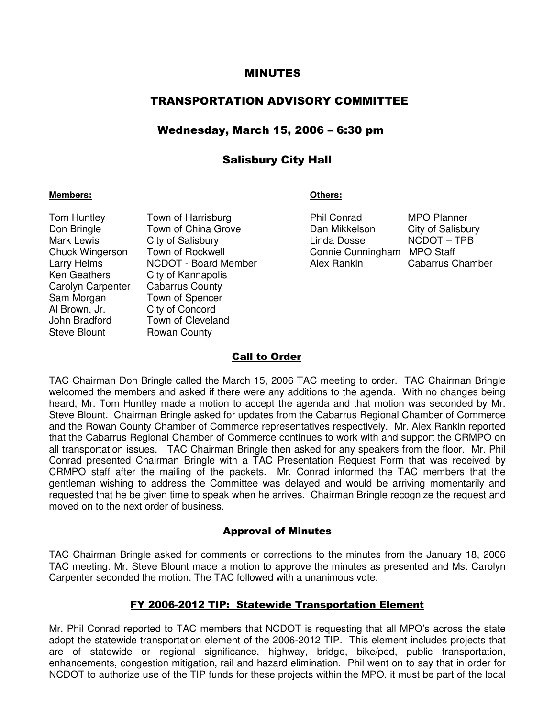#### MINUTES

# TRANSPORTATION ADVISORY COMMITTEE

## Wednesday, March 15, 2006 – 6:30 pm

# Salisbury City Hall

#### **Members: Others:**

Carolyn Carpenter Cabarrus County Sam Morgan Town of Spencer Al Brown, Jr. City of Concord Steve Blount Rowan County

Tom Huntley Town of Harrisburg **Phil Conrad MPO Planner** Don Bringle Town of China Grove Dan Mikkelson City of Salisbury<br>
Mark Lewis City of Salisbury City of Salisbury Cinda Dosse NCDOT - TPB Mark Lewis City of Salisbury **Example 20** Linda Dosse Chuck Wingerson Town of Rockwell Connie Cunningham MPO Staff Larry Helms **NCDOT** - Board Member **Alex Rankin** Cabarrus Chamber Ken Geathers City of Kannapolis John Bradford Town of Cleveland

#### Call to Order

TAC Chairman Don Bringle called the March 15, 2006 TAC meeting to order. TAC Chairman Bringle welcomed the members and asked if there were any additions to the agenda. With no changes being heard, Mr. Tom Huntley made a motion to accept the agenda and that motion was seconded by Mr. Steve Blount. Chairman Bringle asked for updates from the Cabarrus Regional Chamber of Commerce and the Rowan County Chamber of Commerce representatives respectively. Mr. Alex Rankin reported that the Cabarrus Regional Chamber of Commerce continues to work with and support the CRMPO on all transportation issues. TAC Chairman Bringle then asked for any speakers from the floor. Mr. Phil Conrad presented Chairman Bringle with a TAC Presentation Request Form that was received by CRMPO staff after the mailing of the packets. Mr. Conrad informed the TAC members that the gentleman wishing to address the Committee was delayed and would be arriving momentarily and requested that he be given time to speak when he arrives. Chairman Bringle recognize the request and moved on to the next order of business.

#### Approval of Minutes

TAC Chairman Bringle asked for comments or corrections to the minutes from the January 18, 2006 TAC meeting. Mr. Steve Blount made a motion to approve the minutes as presented and Ms. Carolyn Carpenter seconded the motion. The TAC followed with a unanimous vote.

#### FY 2006-2012 TIP: Statewide Transportation Element

Mr. Phil Conrad reported to TAC members that NCDOT is requesting that all MPO's across the state adopt the statewide transportation element of the 2006-2012 TIP. This element includes projects that are of statewide or regional significance, highway, bridge, bike/ped, public transportation, enhancements, congestion mitigation, rail and hazard elimination. Phil went on to say that in order for NCDOT to authorize use of the TIP funds for these projects within the MPO, it must be part of the local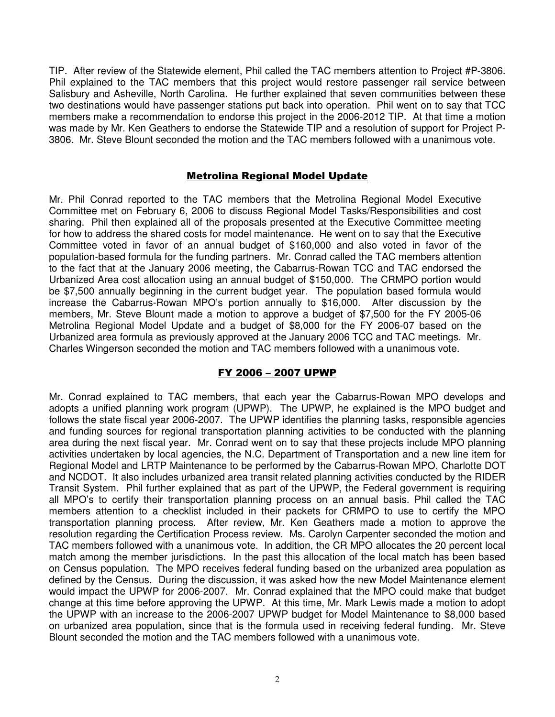TIP. After review of the Statewide element, Phil called the TAC members attention to Project #P-3806. Phil explained to the TAC members that this project would restore passenger rail service between Salisbury and Asheville, North Carolina. He further explained that seven communities between these two destinations would have passenger stations put back into operation. Phil went on to say that TCC members make a recommendation to endorse this project in the 2006-2012 TIP. At that time a motion was made by Mr. Ken Geathers to endorse the Statewide TIP and a resolution of support for Project P-3806. Mr. Steve Blount seconded the motion and the TAC members followed with a unanimous vote.

### Metrolina Regional Model Update

Mr. Phil Conrad reported to the TAC members that the Metrolina Regional Model Executive Committee met on February 6, 2006 to discuss Regional Model Tasks/Responsibilities and cost sharing. Phil then explained all of the proposals presented at the Executive Committee meeting for how to address the shared costs for model maintenance. He went on to say that the Executive Committee voted in favor of an annual budget of \$160,000 and also voted in favor of the population-based formula for the funding partners. Mr. Conrad called the TAC members attention to the fact that at the January 2006 meeting, the Cabarrus-Rowan TCC and TAC endorsed the Urbanized Area cost allocation using an annual budget of \$150,000. The CRMPO portion would be \$7,500 annually beginning in the current budget year. The population based formula would increase the Cabarrus-Rowan MPO's portion annually to \$16,000. After discussion by the members, Mr. Steve Blount made a motion to approve a budget of \$7,500 for the FY 2005-06 Metrolina Regional Model Update and a budget of \$8,000 for the FY 2006-07 based on the Urbanized area formula as previously approved at the January 2006 TCC and TAC meetings. Mr. Charles Wingerson seconded the motion and TAC members followed with a unanimous vote.

# FY 2006 – 2007 UPWP

Mr. Conrad explained to TAC members, that each year the Cabarrus-Rowan MPO develops and adopts a unified planning work program (UPWP). The UPWP, he explained is the MPO budget and follows the state fiscal year 2006-2007. The UPWP identifies the planning tasks, responsible agencies and funding sources for regional transportation planning activities to be conducted with the planning area during the next fiscal year. Mr. Conrad went on to say that these projects include MPO planning activities undertaken by local agencies, the N.C. Department of Transportation and a new line item for Regional Model and LRTP Maintenance to be performed by the Cabarrus-Rowan MPO, Charlotte DOT and NCDOT. It also includes urbanized area transit related planning activities conducted by the RIDER Transit System. Phil further explained that as part of the UPWP, the Federal government is requiring all MPO's to certify their transportation planning process on an annual basis. Phil called the TAC members attention to a checklist included in their packets for CRMPO to use to certify the MPO transportation planning process. After review, Mr. Ken Geathers made a motion to approve the resolution regarding the Certification Process review. Ms. Carolyn Carpenter seconded the motion and TAC members followed with a unanimous vote. In addition, the CR MPO allocates the 20 percent local match among the member jurisdictions. In the past this allocation of the local match has been based on Census population. The MPO receives federal funding based on the urbanized area population as defined by the Census. During the discussion, it was asked how the new Model Maintenance element would impact the UPWP for 2006-2007. Mr. Conrad explained that the MPO could make that budget change at this time before approving the UPWP. At this time, Mr. Mark Lewis made a motion to adopt the UPWP with an increase to the 2006-2007 UPWP budget for Model Maintenance to \$8,000 based on urbanized area population, since that is the formula used in receiving federal funding. Mr. Steve Blount seconded the motion and the TAC members followed with a unanimous vote.